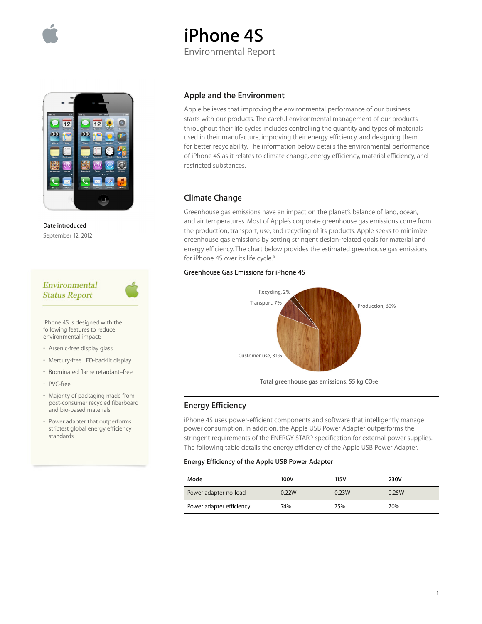

 $\overline{12}$  $\overline{12}$ 

**Date introduced** September 12, 2012

# Environmental **Status Report**

iPhone 4S is designed with the following features to reduce environmental impact:

- Arsenic-free display glass
- Mercury-free LED-backlit display
- Brominated flame retardant–free
- PVC-free
- Majority of packaging made from post-consumer recycled fiberboard and bio-based materials
- Power adapter that outperforms strictest global energy efficiency standards

## **Apple and the Environment**

Apple believes that improving the environmental performance of our business starts with our products. The careful environmental management of our products throughout their life cycles includes controlling the quantity and types of materials used in their manufacture, improving their energy efficiency, and designing them for better recyclability. The information below details the environmental performance of iPhone 4S as it relates to climate change, energy efficiency, material efficiency, and restricted substances.

## **Climate Change**

Greenhouse gas emissions have an impact on the planet's balance of land, ocean, and air temperatures. Most of Apple's corporate greenhouse gas emissions come from the production, transport, use, and recycling of its products. Apple seeks to minimize greenhouse gas emissions by setting stringent design-related goals for material and energy efficiency. The chart below provides the estimated greenhouse gas emissions for iPhone 4S over its life cycle.\*

#### **Greenhouse Gas Emissions for iPhone 4S**



**Total greenhouse gas emissions: 55 kg CO2e**

## **Energy Efficiency**

iPhone 4S uses power-efficient components and software that intelligently manage power consumption. In addition, the Apple USB Power Adapter outperforms the stringent requirements of the ENERGY STAR® specification for external power supplies. The following table details the energy efficiency of the Apple USB Power Adapter.

#### **Energy Efficiency of the Apple USB Power Adapter**

| Mode                     | 100V  | 115V  | 230V  |
|--------------------------|-------|-------|-------|
| Power adapter no-load    | 0.22W | 0.23W | 0.25W |
| Power adapter efficiency | 74%   | 75%   | 70%   |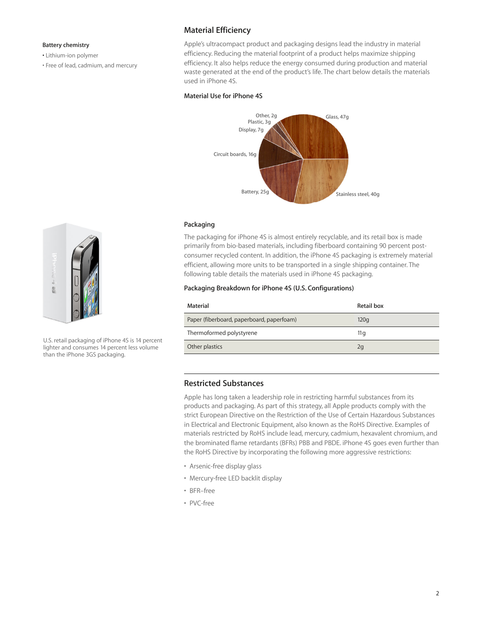#### **Battery chemistry**

• Lithium-ion polymer

• Free of lead, cadmium, and mercury

# **Material Efficiency**

Apple's ultracompact product and packaging designs lead the industry in material efficiency. Reducing the material footprint of a product helps maximize shipping efficiency. It also helps reduce the energy consumed during production and material waste generated at the end of the product's life. The chart below details the materials used in iPhone 4S.

## **Material Use for iPhone 4S**



### **Packaging**

The packaging for iPhone 4S is almost entirely recyclable, and its retail box is made primarily from bio-based materials, including fiberboard containing 90 percent postconsumer recycled content. In addition, the iPhone 4S packaging is extremely material efficient, allowing more units to be transported in a single shipping container. The following table details the materials used in iPhone 4S packaging.

## **Packaging Breakdown for iPhone 4S (U.S. Configurations)**

| Material                                  | Retail box |
|-------------------------------------------|------------|
| Paper (fiberboard, paperboard, paperfoam) | 120q       |
| Thermoformed polystyrene                  | 11 g       |
| Other plastics                            | 2g         |

## **Restricted Substances**

Apple has long taken a leadership role in restricting harmful substances from its products and packaging. As part of this strategy, all Apple products comply with the strict European Directive on the Restriction of the Use of Certain Hazardous Substances in Electrical and Electronic Equipment, also known as the RoHS Directive. Examples of materials restricted by RoHS include lead, mercury, cadmium, hexavalent chromium, and the brominated flame retardants (BFRs) PBB and PBDE. iPhone 4S goes even further than the RoHS Directive by incorporating the following more aggressive restrictions:

- Arsenic-free display glass
- Mercury-free LED backlit display
- BFR–free
- PVC-free



U.S. retail packaging of iPhone 4S is 14 percent lighter and consumes 14 percent less volume than the iPhone 3GS packaging.